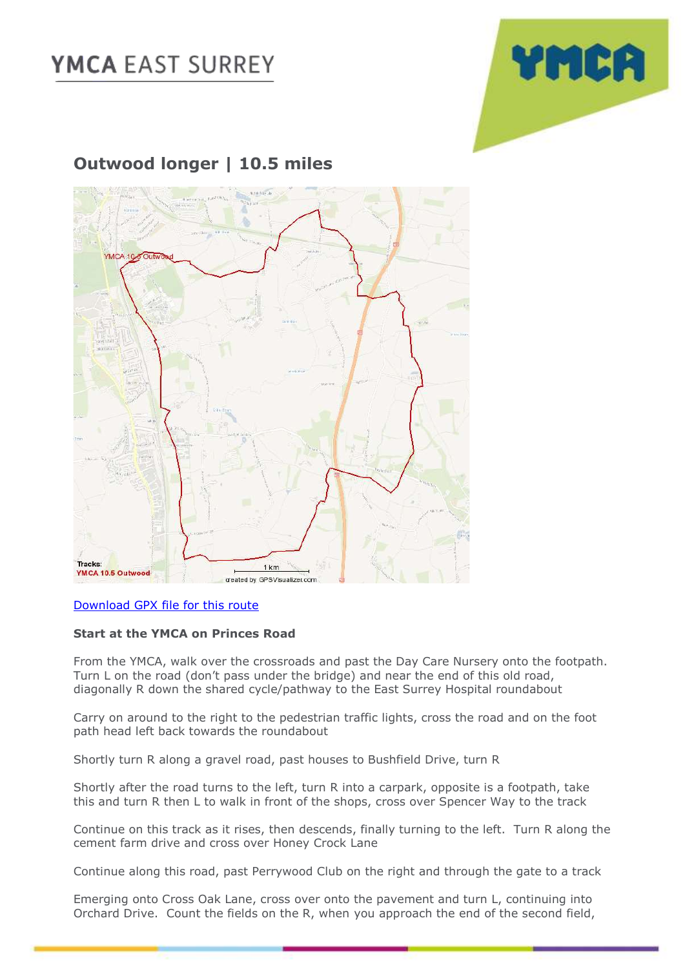# **YMCA EAST SURREY**



### **Outwood longer | 10.5 miles**



### [Download GPX file for this route](https://ymcaeastsurrey-my.sharepoint.com/:u:/g/personal/caroline_jones_ymcaeastsurrey_org_uk/EeQjG7GMV91Pjw3lDgWYwA4BwJC5Ff2BZPqGzHZtSx2yhw?e=ojtnYJ)

#### **Start at the YMCA on Princes Road**

From the YMCA, walk over the crossroads and past the Day Care Nursery onto the footpath. Turn L on the road (don't pass under the bridge) and near the end of this old road, diagonally R down the shared cycle/pathway to the East Surrey Hospital roundabout

Carry on around to the right to the pedestrian traffic lights, cross the road and on the foot path head left back towards the roundabout

Shortly turn R along a gravel road, past houses to Bushfield Drive, turn R

Shortly after the road turns to the left, turn R into a carpark, opposite is a footpath, take this and turn R then L to walk in front of the shops, cross over Spencer Way to the track

Continue on this track as it rises, then descends, finally turning to the left. Turn R along the cement farm drive and cross over Honey Crock Lane

Continue along this road, past Perrywood Club on the right and through the gate to a track

Emerging onto Cross Oak Lane, cross over onto the pavement and turn L, continuing into Orchard Drive. Count the fields on the R, when you approach the end of the second field,